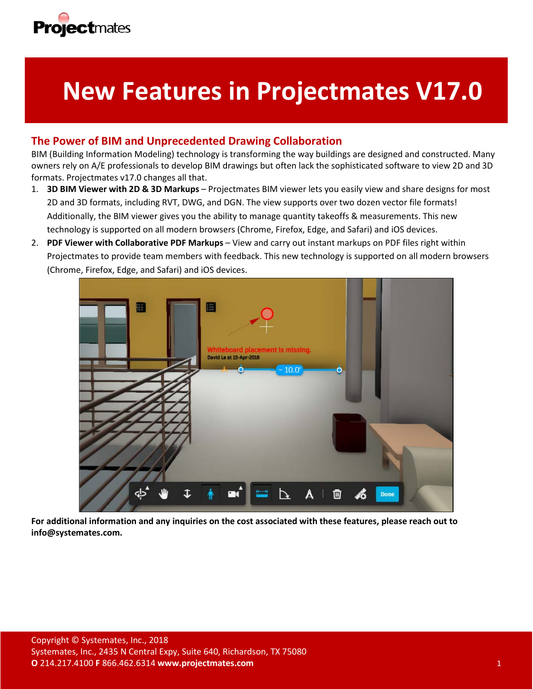

# **New Features in Projectmates V17.0**

## **The Power of BIM and Unprecedented Drawing Collaboration**

BIM (Building Information Modeling) technology is transforming the way buildings are designed and constructed. Many owners rely on A/E professionals to develop BIM drawings but often lack the sophisticated software to view 2D and 3D formats. Projectmates v17.0 changes all that.

- 1. **3D BIM Viewer with 2D & 3D Markups** Projectmates BIM viewer lets you easily view and share designs for most 2D and 3D formats, including RVT, DWG, and DGN. The view supports over two dozen vector file formats! Additionally, the BIM viewer gives you the ability to manage quantity takeoffs & measurements. This new technology is supported on all modern browsers (Chrome, Firefox, Edge, and Safari) and iOS devices.
- 2. **PDF Viewer with Collaborative PDF Markups** View and carry out instant markups on PDF files right within Projectmates to provide team members with feedback. This new technology is supported on all modern browsers (Chrome, Firefox, Edge, and Safari) and iOS devices.



**For additional information and any inquiries on the cost associated with these features, please reach out to info@systemates.com.**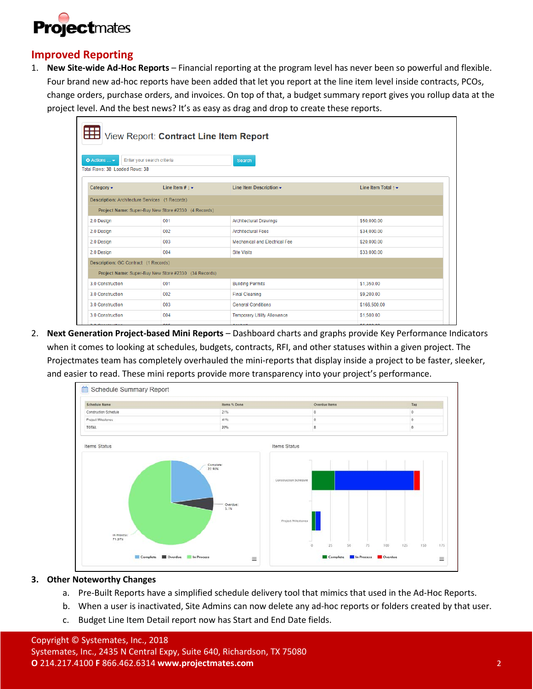

## **Improved Reporting**

1. **New Site-wide Ad-Hoc Reports** – Financial reporting at the program level has never been so powerful and flexible. Four brand new ad-hoc reports have been added that let you report at the line item level inside contracts, PCOs, change orders, purchase orders, and invoices. On top of that, a budget summary report gives you rollup data at the project level. And the best news? It's as easy as drag and drop to create these reports.

| View Report: Contract Line Item Report                |                                                      |                                    |                     |  |  |  |  |
|-------------------------------------------------------|------------------------------------------------------|------------------------------------|---------------------|--|--|--|--|
| <b>O</b> Actions  ▼<br>Total Rows: 38 Loaded Rows: 38 | Enter your search criteria                           | <b>Search</b>                      |                     |  |  |  |  |
| Category $\blacktriangleright$                        | Line Item # $1 -$                                    | Line Item Description -            | Line Item Total 1 - |  |  |  |  |
| Description: Architecture Services (1 Records)        |                                                      |                                    |                     |  |  |  |  |
|                                                       | Project Name: Super-Buy New Store #2330 (4 Records)  |                                    |                     |  |  |  |  |
| 2.0 Design                                            | 001                                                  | <b>Architectural Drawings</b>      | \$50,000.00         |  |  |  |  |
| 2.0 Design                                            | 002                                                  | <b>Architectural Fees</b>          | \$34,000.00         |  |  |  |  |
| 2.0 Design                                            | 003                                                  | Mechanical and Electrical Fee      | \$20,000.00         |  |  |  |  |
| 2.0 Design                                            | 004                                                  | <b>Site Visits</b>                 | \$33,000.00         |  |  |  |  |
| Description: GC Contract (1 Records)                  |                                                      |                                    |                     |  |  |  |  |
|                                                       | Project Name: Super-Buy New Store #2330 (34 Records) |                                    |                     |  |  |  |  |
| 3.0 Construction                                      | 001                                                  | <b>Building Permits</b>            | \$1,350.00          |  |  |  |  |
| 3.0 Construction                                      | 002                                                  | <b>Final Cleaning</b>              | \$9,200.00          |  |  |  |  |
| 3.0 Construction                                      | 003                                                  | <b>General Conditions</b>          | \$166,500.00        |  |  |  |  |
| 3.0 Construction                                      | 004                                                  | <b>Temporary Utility Allowance</b> | \$1,500.00          |  |  |  |  |
|                                                       |                                                      |                                    |                     |  |  |  |  |

2. **Next Generation Project-based Mini Reports** – Dashboard charts and graphs provide Key Performance Indicators when it comes to looking at schedules, budgets, contracts, RFI, and other statuses within a given project. The Projectmates team has completely overhauled the mini-reports that display inside a project to be faster, sleeker, and easier to read. These mini reports provide more transparency into your project's performance.



#### **3. Other Noteworthy Changes**

- a. Pre-Built Reports have a simplified schedule delivery tool that mimics that used in the Ad-Hoc Reports.
- b. When a user is inactivated, Site Admins can now delete any ad-hoc reports or folders created by that user.
- c. Budget Line Item Detail report now has Start and End Date fields.

### Copyright © Systemates, Inc., 2018

Systemates, Inc., 2435 N Central Expy, Suite 640, Richardson, TX 75080 **O** 214.217.4100 **F** 866.462.6314 **www.projectmates.com** 2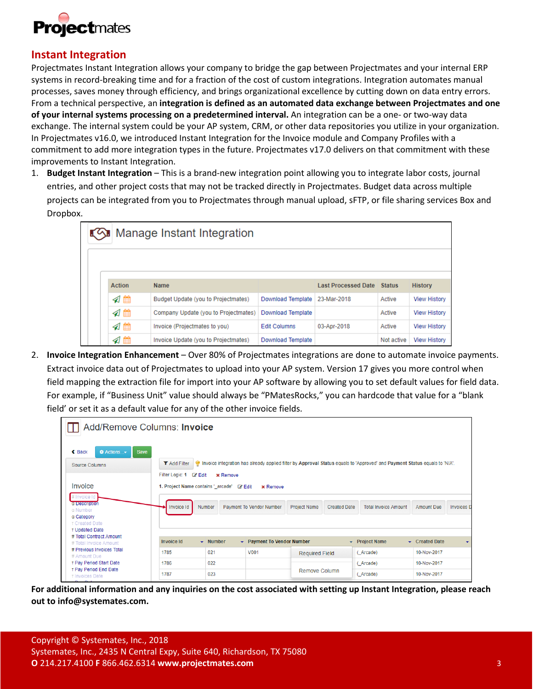

## **Instant Integration**

Projectmates Instant Integration allows your company to bridge the gap between Projectmates and your internal ERP systems in record-breaking time and for a fraction of the cost of custom integrations. Integration automates manual processes, saves money through efficiency, and brings organizational excellence by cutting down on data entry errors. From a technical perspective, an **integration is defined as an automated data exchange between Projectmates and one of your internal systems processing on a predetermined interval.** An integration can be a one- or two-way data exchange. The internal system could be your AP system, CRM, or other data repositories you utilize in your organization. In Projectmates v16.0, we introduced Instant Integration for the Invoice module and Company Profiles with a commitment to add more integration types in the future. Projectmates v17.0 delivers on that commitment with these improvements to Instant Integration.

1. **Budget Instant Integration** – This is a brand-new integration point allowing you to integrate labor costs, journal entries, and other project costs that may not be tracked directly in Projectmates. Budget data across multiple projects can be integrated from you to Projectmates through manual upload, sFTP, or file sharing services Box and Dropbox.

| ∎<ি Manage Instant Integration |                                      |                     |                            |               |                     |  |  |
|--------------------------------|--------------------------------------|---------------------|----------------------------|---------------|---------------------|--|--|
|                                |                                      |                     |                            |               |                     |  |  |
| Action                         | <b>Name</b>                          |                     | <b>Last Processed Date</b> | <b>Status</b> | <b>History</b>      |  |  |
| ุส⊞                            | Budget Update (you to Projectmates)  | Download Template   | 23-Mar-2018                | Active        | <b>View History</b> |  |  |
| ุส⊯                            | Company Update (you to Projectmates) | Download Template   |                            | Active        | <b>View History</b> |  |  |
| ุส⊯                            | Invoice (Projectmates to you)        | <b>Edit Columns</b> | 03-Apr-2018                | Active        | <b>View History</b> |  |  |
| ุ 1 68                         | Invoice Update (you to Projectmates) | Download Template   |                            | Not active    | <b>View History</b> |  |  |

2. **Invoice Integration Enhancement** – Over 80% of Projectmates integrations are done to automate invoice payments. Extract invoice data out of Projectmates to upload into your AP system. Version 17 gives you more control when field mapping the extraction file for import into your AP software by allowing you to set default values for field data. For example, if "Business Unit" value should always be "PMatesRocks," you can hardcode that value for a "blank field' or set it as a default value for any of the other invoice fields.

| Add/Remove Columns: Invoice                                                |                                                               |                              |                                 |                       |                     |                                                                                                                            |                   |                          |
|----------------------------------------------------------------------------|---------------------------------------------------------------|------------------------------|---------------------------------|-----------------------|---------------------|----------------------------------------------------------------------------------------------------------------------------|-------------------|--------------------------|
| <b>Actions</b><br>$\triangle$ Back<br><b>Save</b><br><b>Source Columns</b> | <b>T</b> Add Filter<br>Filter Logic: 1 & Edit                 | <b>x</b> Remove              |                                 |                       |                     | Invoice integration has already applied filter by Approval Status equals to 'Approved' and Payment Status equals to 'N/A'. |                   |                          |
| Invoice                                                                    | 1. Project Name contains '_arcade' Z' Edit<br><b>x</b> Remove |                              |                                 |                       |                     |                                                                                                                            |                   |                          |
| # Invoice Id<br>a Description<br>a Number<br>a Category<br>T Created Date  | <b>Invoice Id</b>                                             | Number                       | <b>Payment To Vendor Number</b> | <b>Project Name</b>   | <b>Created Date</b> | <b>Total Invoice Amount</b>                                                                                                | <b>Amount Due</b> | <b>Invoices</b> D        |
| T Updated Date<br># Total Contract Amount                                  |                                                               |                              |                                 |                       |                     |                                                                                                                            |                   |                          |
| # Total Invoice Amount                                                     | <b>Invoice Id</b>                                             | $\blacktriangleright$ Number | • Payment To Vendor Number      |                       |                     | $\blacktriangleright$ Project Name                                                                                         | Created Date      | $\overline{\phantom{a}}$ |
| # Previous Invoices Total<br># Amount Due                                  | 1785                                                          | 021                          | V001                            | <b>Required Field</b> |                     | (Arcade)                                                                                                                   | 10-Nov-2017       |                          |
| T Pay Period Start Date                                                    | 1786                                                          | 022                          |                                 |                       |                     | (Arcade)                                                                                                                   | 10-Nov-2017       |                          |
| T Pay Period End Date<br>T Invoices Date                                   | 1787                                                          | 023                          |                                 | Remove Column         |                     | (Arcade)                                                                                                                   | 10-Nov-2017       |                          |

**For additional information and any inquiries on the cost associated with setting up Instant Integration, please reach out to info@systemates.com.**